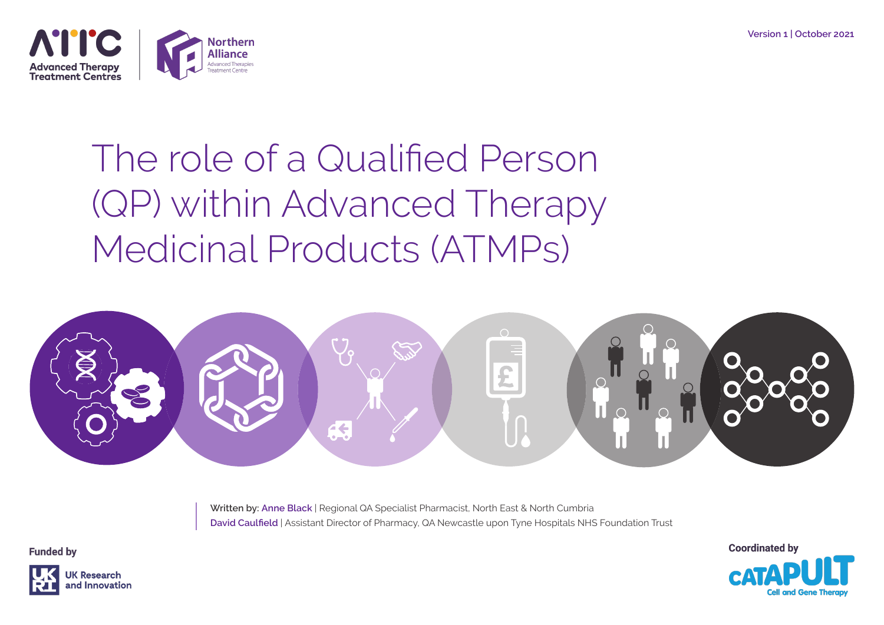

# The role of a Qualified Person (QP) within Advanced Therapy Medicinal Products (ATMPs)



**Written by: Anne Black** | Regional QA Specialist Pharmacist, North East & North Cumbria **David Caulfield** | Assistant Director of Pharmacy, QA Newcastle upon Tyne Hospitals NHS Foundation Trust

**Coordinated by** 

**Funded by** 

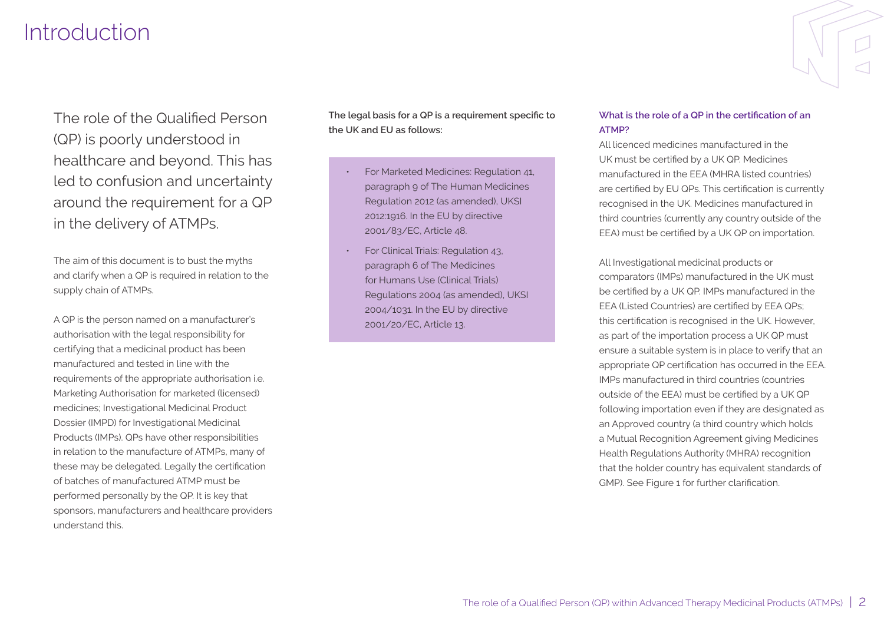# **Introduction**

The role of the Qualified Person (QP) is poorly understood in healthcare and beyond. This has led to confusion and uncertainty around the requirement for a QP in the delivery of ATMPs.

The aim of this document is to bust the myths and clarify when a QP is required in relation to the supply chain of ATMPs.

A QP is the person named on a manufacturer's authorisation with the legal responsibility for certifying that a medicinal product has been manufactured and tested in line with the requirements of the appropriate authorisation i.e. Marketing Authorisation for marketed (licensed) medicines; Investigational Medicinal Product Dossier (IMPD) for Investigational Medicinal Products (IMPs). QPs have other responsibilities in relation to the manufacture of ATMPs, many of these may be delegated. Legally the certification of batches of manufactured ATMP must be performed personally by the QP. It is key that sponsors, manufacturers and healthcare providers understand this.

**The legal basis for a QP is a requirement specific to the UK and EU as follows:**

- For Marketed Medicines: Regulation 41, paragraph 9 of The Human Medicines Regulation 2012 (as amended), UKSI 2012:1916. In the EU by directive 2001/83/EC, Article 48.
- For Clinical Trials: Regulation 43, paragraph 6 of The Medicines for Humans Use (Clinical Trials) Regulations 2004 (as amended), UKSI 2004/1031. In the EU by directive 2001/20/EC, Article 13.

#### **What is the role of a QP in the certification of an ATMP?**

All licenced medicines manufactured in the UK must be certified by a UK QP. Medicines manufactured in the EEA (MHRA listed countries) are certified by EU QPs. This certification is currently recognised in the UK. Medicines manufactured in third countries (currently any country outside of the EEA) must be certified by a UK QP on importation.

All Investigational medicinal products or comparators (IMPs) manufactured in the UK must be certified by a UK QP. IMPs manufactured in the EEA (Listed Countries) are certified by EEA QPs; this certification is recognised in the UK. However, as part of the importation process a UK QP must ensure a suitable system is in place to verify that an appropriate QP certification has occurred in the EEA. IMPs manufactured in third countries (countries outside of the EEA) must be certified by a UK QP following importation even if they are designated as an Approved country (a third country which holds a Mutual Recognition Agreement giving Medicines Health Regulations Authority (MHRA) recognition that the holder country has equivalent standards of GMP). See Figure 1 for further clarification.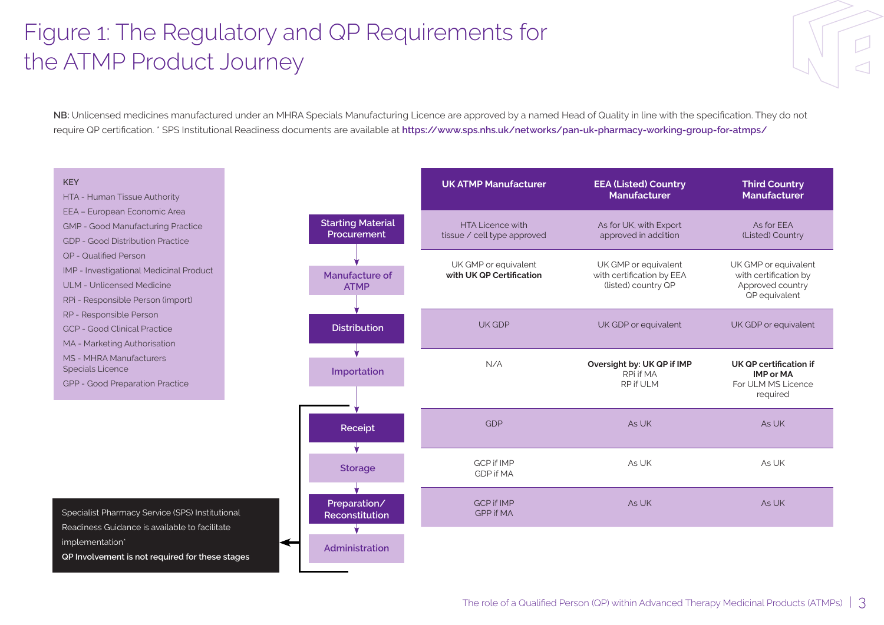# Figure 1: The Regulatory and QP Requirements for the ATMP Product Journey

**NB:** Unlicensed medicines manufactured under an MHRA Specials Manufacturing Licence are approved by a named Head of Quality in line with the specification. They do not require QP certification. \* SPS Institutional Readiness documents are available at **https://www.sps.nhs.uk/networks/pan-uk-pharmacy-working-group-for-atmps/**

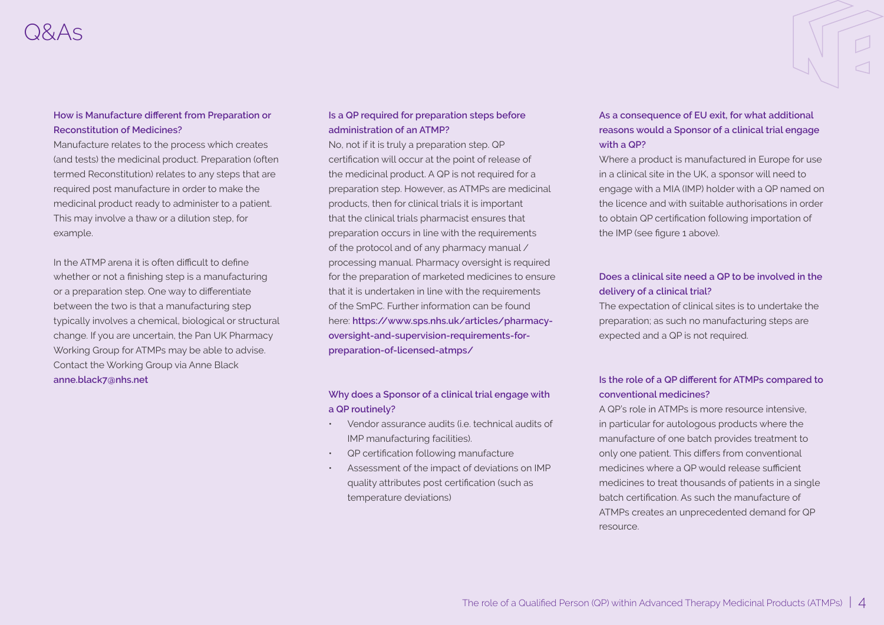#### **How is Manufacture different from Preparation or Reconstitution of Medicines?**

Manufacture relates to the process which creates (and tests) the medicinal product. Preparation (often termed Reconstitution) relates to any steps that are required post manufacture in order to make the medicinal product ready to administer to a patient. This may involve a thaw or a dilution step, for example.

In the ATMP arena it is often difficult to define whether or not a finishing step is a manufacturing or a preparation step. One way to differentiate between the two is that a manufacturing step typically involves a chemical, biological or structural change. If you are uncertain, the Pan UK Pharmacy Working Group for ATMPs may be able to advise. Contact the Working Group via Anne Black **anne.black7@nhs.net**

#### **Is a QP required for preparation steps before administration of an ATMP?**

No, not if it is truly a preparation step. QP certification will occur at the point of release of the medicinal product. A QP is not required for a preparation step. However, as ATMPs are medicinal products, then for clinical trials it is important that the clinical trials pharmacist ensures that preparation occurs in line with the requirements of the protocol and of any pharmacy manual / processing manual. Pharmacy oversight is required for the preparation of marketed medicines to ensure that it is undertaken in line with the requirements of the SmPC. Further information can be found here: **https://www.sps.nhs.uk/articles/pharmacyoversight-and-supervision-requirements-forpreparation-of-licensed-atmps/**

#### **Why does a Sponsor of a clinical trial engage with a QP routinely?**

- Vendor assurance audits (i.e. technical audits of IMP manufacturing facilities).
- QP certification following manufacture
- Assessment of the impact of deviations on IMP quality attributes post certification (such as temperature deviations)

## **As a consequence of EU exit, for what additional reasons would a Sponsor of a clinical trial engage with a QP?**

Where a product is manufactured in Europe for use in a clinical site in the UK, a sponsor will need to engage with a MIA (IMP) holder with a QP named on the licence and with suitable authorisations in order to obtain QP certification following importation of the IMP (see figure 1 above).

## **Does a clinical site need a QP to be involved in the delivery of a clinical trial?**

The expectation of clinical sites is to undertake the preparation; as such no manufacturing steps are expected and a QP is not required.

## **Is the role of a QP different for ATMPs compared to conventional medicines?**

A QP's role in ATMPs is more resource intensive, in particular for autologous products where the manufacture of one batch provides treatment to only one patient. This differs from conventional medicines where a QP would release sufficient medicines to treat thousands of patients in a single batch certification. As such the manufacture of ATMPs creates an unprecedented demand for QP resource.